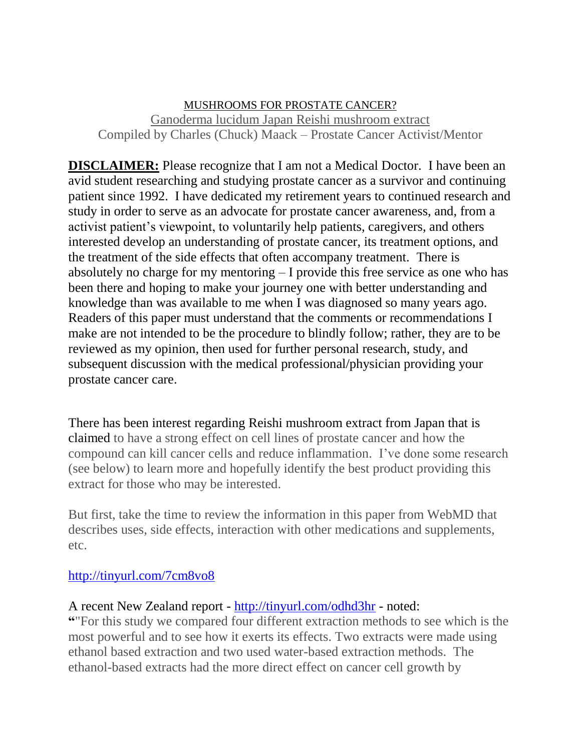## MUSHROOMS FOR PROSTATE CANCER? Ganoderma lucidum Japan Reishi mushroom extract Compiled by Charles (Chuck) Maack – Prostate Cancer Activist/Mentor

**DISCLAIMER:** Please recognize that I am not a Medical Doctor. I have been an avid student researching and studying prostate cancer as a survivor and continuing patient since 1992. I have dedicated my retirement years to continued research and study in order to serve as an advocate for prostate cancer awareness, and, from a activist patient's viewpoint, to voluntarily help patients, caregivers, and others interested develop an understanding of prostate cancer, its treatment options, and the treatment of the side effects that often accompany treatment. There is absolutely no charge for my mentoring – I provide this free service as one who has been there and hoping to make your journey one with better understanding and knowledge than was available to me when I was diagnosed so many years ago. Readers of this paper must understand that the comments or recommendations I make are not intended to be the procedure to blindly follow; rather, they are to be reviewed as my opinion, then used for further personal research, study, and subsequent discussion with the medical professional/physician providing your prostate cancer care.

There has been interest regarding Reishi mushroom extract from Japan that is claimed to have a strong effect on cell lines of prostate cancer and how the compound can kill cancer cells and reduce inflammation. I've done some research (see below) to learn more and hopefully identify the best product providing this extract for those who may be interested.

But first, take the time to review the information in this paper from WebMD that describes uses, side effects, interaction with other medications and supplements, etc.

## <http://tinyurl.com/7cm8vo8>

## A recent New Zealand report - <http://tinyurl.com/odhd3hr> - noted:

**"**"For this study we compared four different extraction methods to see which is the most powerful and to see how it exerts its effects. Two extracts were made using ethanol based extraction and two used water-based extraction methods. The ethanol-based extracts had the more direct effect on cancer cell growth by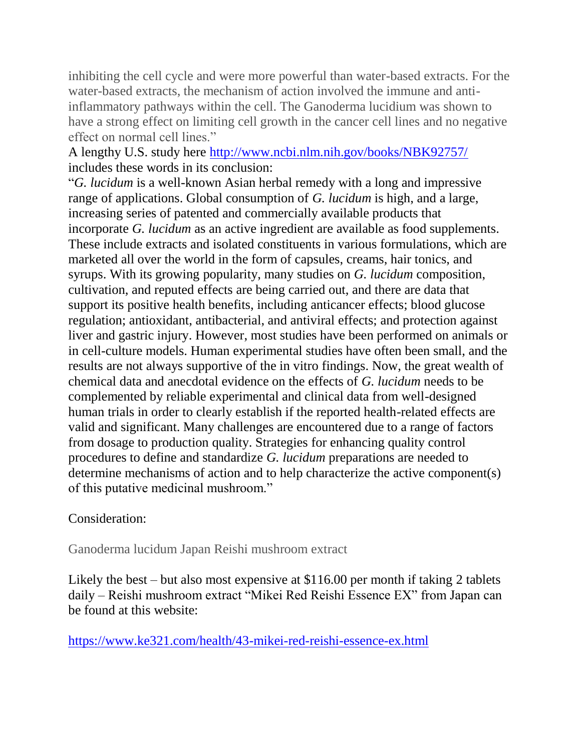inhibiting the cell cycle and were more powerful than water-based extracts. For the water-based extracts, the mechanism of action involved the immune and antiinflammatory pathways within the cell. The Ganoderma lucidium was shown to have a strong effect on limiting cell growth in the cancer cell lines and no negative effect on normal cell lines."

A lengthy U.S. study here<http://www.ncbi.nlm.nih.gov/books/NBK92757/> includes these words in its conclusion:

"*G. lucidum* is a well-known Asian herbal remedy with a long and impressive range of applications. Global consumption of *G. lucidum* is high, and a large, increasing series of patented and commercially available products that incorporate *G. lucidum* as an active ingredient are available as food supplements. These include extracts and isolated constituents in various formulations, which are marketed all over the world in the form of capsules, creams, hair tonics, and syrups. With its growing popularity, many studies on *G. lucidum* composition, cultivation, and reputed effects are being carried out, and there are data that support its positive health benefits, including anticancer effects; blood glucose regulation; antioxidant, antibacterial, and antiviral effects; and protection against liver and gastric injury. However, most studies have been performed on animals or in cell-culture models. Human experimental studies have often been small, and the results are not always supportive of the in vitro findings. Now, the great wealth of chemical data and anecdotal evidence on the effects of *G. lucidum* needs to be complemented by reliable experimental and clinical data from well-designed human trials in order to clearly establish if the reported health-related effects are valid and significant. Many challenges are encountered due to a range of factors from dosage to production quality. Strategies for enhancing quality control procedures to define and standardize *G. lucidum* preparations are needed to determine mechanisms of action and to help characterize the active component(s) of this putative medicinal mushroom."

## Consideration:

Ganoderma lucidum Japan Reishi mushroom extract

Likely the best – but also most expensive at \$116.00 per month if taking 2 tablets daily – Reishi mushroom extract "Mikei Red Reishi Essence EX" from Japan can be found at this website:

<https://www.ke321.com/health/43-mikei-red-reishi-essence-ex.html>